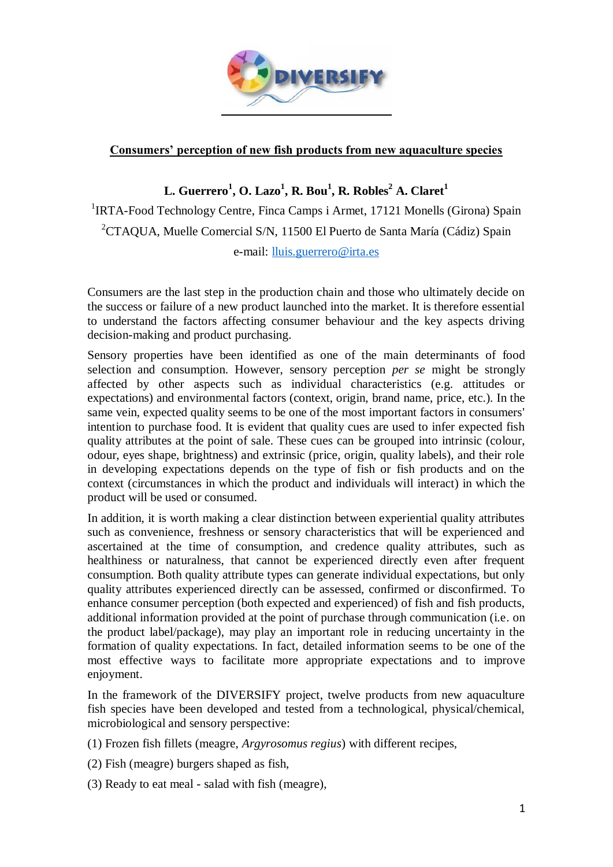

## **Consumers' perception of new fish products from new aquaculture species**

## **L. Guerrero<sup>1</sup> , O. Lazo<sup>1</sup> , R. Bou<sup>1</sup> , R. Robles<sup>2</sup> A. Claret<sup>1</sup>**

<sup>1</sup>IRTA-Food Technology Centre, Finca Camps i Armet, 17121 Monells (Girona) Spain <sup>2</sup>CTAQUA, Muelle Comercial S/N, 11500 El Puerto de Santa María (Cádiz) Spain e-mail: [lluis.guerrero@irta.es](mailto:lluis.guerrero@irta.es)

Consumers are the last step in the production chain and those who ultimately decide on the success or failure of a new product launched into the market. It is therefore essential to understand the factors affecting consumer behaviour and the key aspects driving decision-making and product purchasing.

Sensory properties have been identified as one of the main determinants of food selection and consumption. However, sensory perception *per se* might be strongly affected by other aspects such as individual characteristics (e.g. attitudes or expectations) and environmental factors (context, origin, brand name, price, etc.). In the same vein, expected quality seems to be one of the most important factors in consumers' intention to purchase food. It is evident that quality cues are used to infer expected fish quality attributes at the point of sale. These cues can be grouped into intrinsic (colour, odour, eyes shape, brightness) and extrinsic (price, origin, quality labels), and their role in developing expectations depends on the type of fish or fish products and on the context (circumstances in which the product and individuals will interact) in which the product will be used or consumed.

In addition, it is worth making a clear distinction between experiential quality attributes such as convenience, freshness or sensory characteristics that will be experienced and ascertained at the time of consumption, and credence quality attributes, such as healthiness or naturalness, that cannot be experienced directly even after frequent consumption. Both quality attribute types can generate individual expectations, but only quality attributes experienced directly can be assessed, confirmed or disconfirmed. To enhance consumer perception (both expected and experienced) of fish and fish products, additional information provided at the point of purchase through communication (i.e. on the product label/package), may play an important role in reducing uncertainty in the formation of quality expectations. In fact, detailed information seems to be one of the most effective ways to facilitate more appropriate expectations and to improve enjoyment.

In the framework of the DIVERSIFY project, twelve products from new aquaculture fish species have been developed and tested from a technological, physical/chemical, microbiological and sensory perspective:

- (1) Frozen fish fillets (meagre, *Argyrosomus regius*) with different recipes,
- (2) Fish (meagre) burgers shaped as fish,
- (3) Ready to eat meal salad with fish (meagre),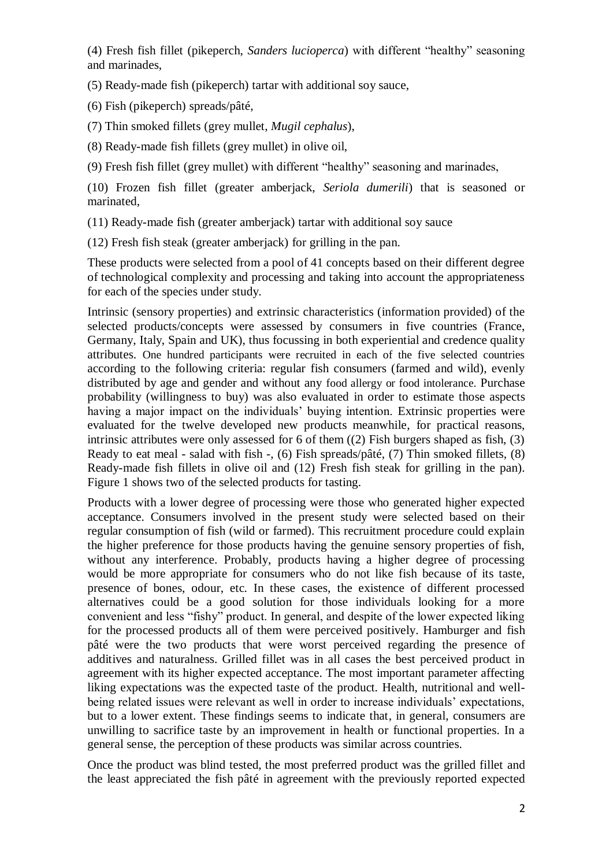(4) Fresh fish fillet (pikeperch, *Sanders lucioperca*) with different "healthy" seasoning and marinades,

(5) Ready-made fish (pikeperch) tartar with additional soy sauce,

(6) Fish (pikeperch) spreads/pâté,

(7) Thin smoked fillets (grey mullet, *Mugil cephalus*),

(8) Ready-made fish fillets (grey mullet) in olive oil,

(9) Fresh fish fillet (grey mullet) with different "healthy" seasoning and marinades,

(10) Frozen fish fillet (greater amberjack, *Seriola dumerili*) that is seasoned or marinated,

(11) Ready-made fish (greater amberjack) tartar with additional soy sauce

(12) Fresh fish steak (greater amberjack) for grilling in the pan.

These products were selected from a pool of 41 concepts based on their different degree of technological complexity and processing and taking into account the appropriateness for each of the species under study.

Intrinsic (sensory properties) and extrinsic characteristics (information provided) of the selected products/concepts were assessed by consumers in five countries (France, Germany, Italy, Spain and UK), thus focussing in both experiential and credence quality attributes. One hundred participants were recruited in each of the five selected countries according to the following criteria: regular fish consumers (farmed and wild), evenly distributed by age and gender and without any food allergy or food intolerance. Purchase probability (willingness to buy) was also evaluated in order to estimate those aspects having a major impact on the individuals' buying intention. Extrinsic properties were evaluated for the twelve developed new products meanwhile, for practical reasons, intrinsic attributes were only assessed for 6 of them  $(2)$  Fish burgers shaped as fish,  $(3)$ Ready to eat meal - salad with fish -, (6) Fish spreads/pâté, (7) Thin smoked fillets, (8) Ready-made fish fillets in olive oil and (12) Fresh fish steak for grilling in the pan). Figure 1 shows two of the selected products for tasting.

Products with a lower degree of processing were those who generated higher expected acceptance. Consumers involved in the present study were selected based on their regular consumption of fish (wild or farmed). This recruitment procedure could explain the higher preference for those products having the genuine sensory properties of fish, without any interference. Probably, products having a higher degree of processing would be more appropriate for consumers who do not like fish because of its taste, presence of bones, odour, etc. In these cases, the existence of different processed alternatives could be a good solution for those individuals looking for a more convenient and less "fishy" product. In general, and despite of the lower expected liking for the processed products all of them were perceived positively. Hamburger and fish pâté were the two products that were worst perceived regarding the presence of additives and naturalness. Grilled fillet was in all cases the best perceived product in agreement with its higher expected acceptance. The most important parameter affecting liking expectations was the expected taste of the product. Health, nutritional and wellbeing related issues were relevant as well in order to increase individuals' expectations, but to a lower extent. These findings seems to indicate that, in general, consumers are unwilling to sacrifice taste by an improvement in health or functional properties. In a general sense, the perception of these products was similar across countries.

Once the product was blind tested, the most preferred product was the grilled fillet and the least appreciated the fish pâté in agreement with the previously reported expected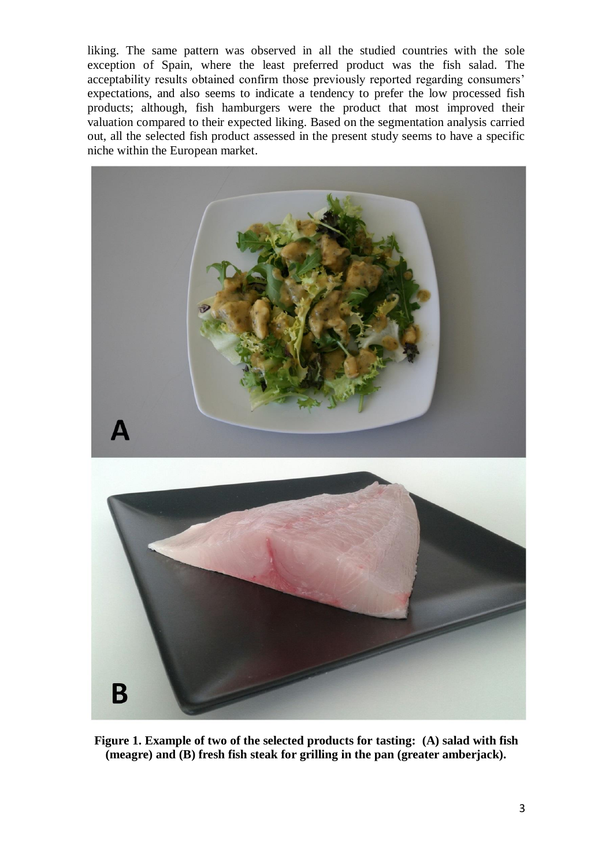liking. The same pattern was observed in all the studied countries with the sole exception of Spain, where the least preferred product was the fish salad. The acceptability results obtained confirm those previously reported regarding consumers' expectations, and also seems to indicate a tendency to prefer the low processed fish products; although, fish hamburgers were the product that most improved their valuation compared to their expected liking. Based on the segmentation analysis carried out, all the selected fish product assessed in the present study seems to have a specific niche within the European market.



**Figure 1. Example of two of the selected products for tasting: (A) salad with fish (meagre) and (B) fresh fish steak for grilling in the pan (greater amberjack).**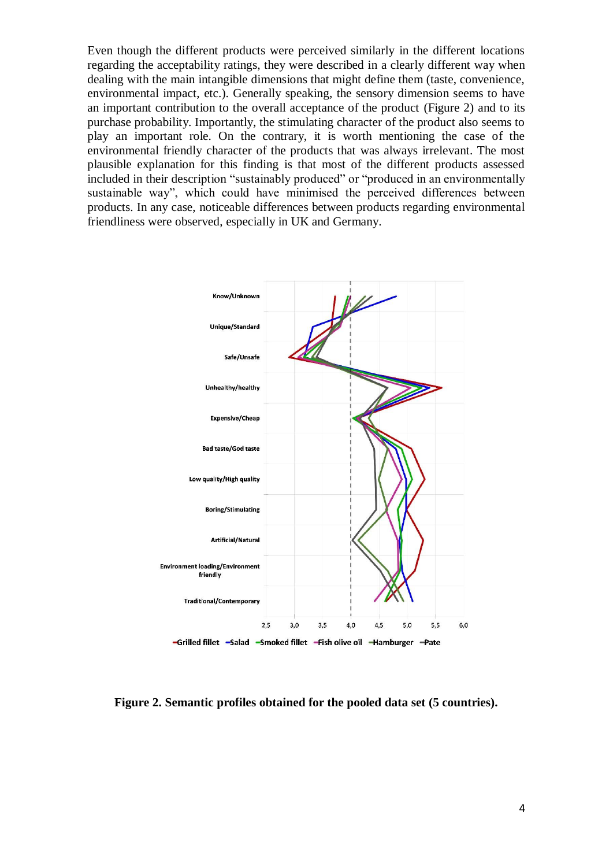Even though the different products were perceived similarly in the different locations regarding the acceptability ratings, they were described in a clearly different way when dealing with the main intangible dimensions that might define them (taste, convenience, environmental impact, etc.). Generally speaking, the sensory dimension seems to have an important contribution to the overall acceptance of the product (Figure 2) and to its purchase probability. Importantly, the stimulating character of the product also seems to play an important role. On the contrary, it is worth mentioning the case of the environmental friendly character of the products that was always irrelevant. The most plausible explanation for this finding is that most of the different products assessed included in their description "sustainably produced" or "produced in an environmentally sustainable way", which could have minimised the perceived differences between products. In any case, noticeable differences between products regarding environmental friendliness were observed, especially in UK and Germany.



**Figure 2. Semantic profiles obtained for the pooled data set (5 countries).**